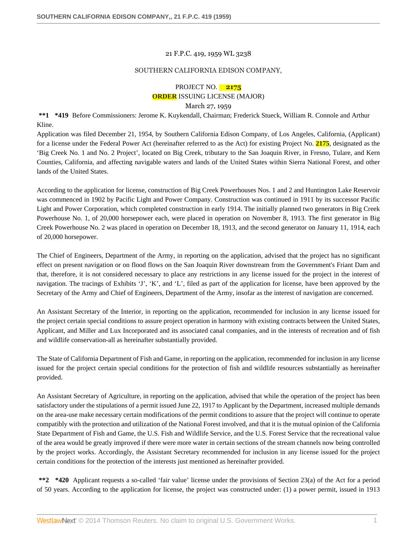#### 21 F.P.C. 419, 1959 WL 3238

#### SOUTHERN CALIFORNIA EDISON COMPANY,

# PROJECT NO. **2175 ORDER** ISSUING LICENSE (MAJOR)

#### March 27, 1959

**\*\*1 \*419** Before Commissioners: Jerome K. Kuykendall, Chairman; Frederick Stueck, William R. Connole and Arthur Kline.

Application was filed December 21, 1954, by Southern California Edison Company, of Los Angeles, California, (Applicant) for a license under the Federal Power Act (hereinafter referred to as the Act) for existing Project No. **2175**, designated as the 'Big Creek No. 1 and No. 2 Project', located on Big Creek, tributary to the San Joaquin River, in Fresno, Tulare, and Kern Counties, California, and affecting navigable waters and lands of the United States within Sierra National Forest, and other lands of the United States.

According to the application for license, construction of Big Creek Powerhouses Nos. 1 and 2 and Huntington Lake Reservoir was commenced in 1902 by Pacific Light and Power Company. Construction was continued in 1911 by its successor Pacific Light and Power Corporation, which completed construction in early 1914. The initially planned two generators in Big Creek Powerhouse No. 1, of 20,000 horsepower each, were placed in operation on November 8, 1913. The first generator in Big Creek Powerhouse No. 2 was placed in operation on December 18, 1913, and the second generator on January 11, 1914, each of 20,000 horsepower.

The Chief of Engineers, Department of the Army, in reporting on the application, advised that the project has no significant effect on present navigation or on flood flows on the San Joaquin River downstream from the Government's Friant Dam and that, therefore, it is not considered necessary to place any restrictions in any license issued for the project in the interest of navigation. The tracings of Exhibits 'J', 'K', and 'L', filed as part of the application for license, have been approved by the Secretary of the Army and Chief of Engineers, Department of the Army, insofar as the interest of navigation are concerned.

An Assistant Secretary of the Interior, in reporting on the application, recommended for inclusion in any license issued for the project certain special conditions to assure project operation in harmony with existing contracts between the United States, Applicant, and Miller and Lux Incorporated and its associated canal companies, and in the interests of recreation and of fish and wildlife conservation-all as hereinafter substantially provided.

The State of California Department of Fish and Game, in reporting on the application, recommended for inclusion in any license issued for the project certain special conditions for the protection of fish and wildlife resources substantially as hereinafter provided.

An Assistant Secretary of Agriculture, in reporting on the application, advised that while the operation of the project has been satisfactory under the stipulations of a permit issued June 22, 1917 to Applicant by the Department, increased multiple demands on the area-use make necessary certain modifications of the permit conditions to assure that the project will continue to operate compatibly with the protection and utilization of the National Forest involved, and that it is the mutual opinion of the California State Department of Fish and Game, the U.S. Fish and Wildlife Service, and the U.S. Forest Service that the recreational value of the area would be greatly improved if there were more water in certain sections of the stream channels now being controlled by the project works. Accordingly, the Assistant Secretary recommended for inclusion in any license issued for the project certain conditions for the protection of the interests just mentioned as hereinafter provided.

**\*\*2 \*420** Applicant requests a so-called 'fair value' license under the provisions of Section 23(a) of the Act for a period of 50 years. According to the application for license, the project was constructed under: (1) a power permit, issued in 1913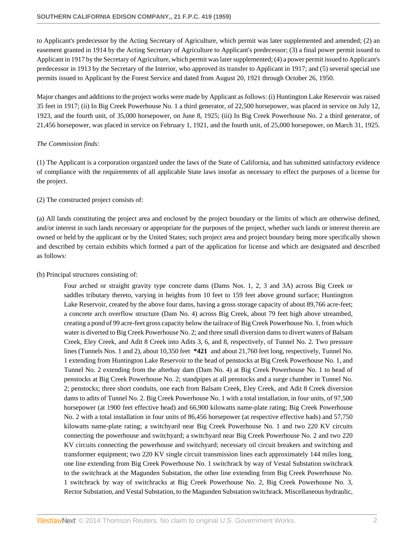to Applicant's predecessor by the Acting Secretary of Agriculture, which permit was later supplemented and amended; (2) an easement granted in 1914 by the Acting Secretary of Agriculture to Applicant's predecessor; (3) a final power permit issued to Applicant in 1917 by the Secretary of Agriculture, which permit was later supplemented; (4) a power permit issued to Applicant's predecessor in 1913 by the Secretary of the Interior, who approved its transfer to Applicant in 1917; and (5) several special use permits issued to Applicant by the Forest Service and dated from August 20, 1921 through October 26, 1950.

Major changes and additions to the project works were made by Applicant as follows: (i) Huntington Lake Reservoir was raised 35 feet in 1917; (ii) In Big Creek Powerhouse No. 1 a third generator, of 22,500 horsepower, was placed in service on July 12, 1923, and the fourth unit, of 35,000 horsepower, on June 8, 1925; (iii) In Big Creek Powerhouse No. 2 a third generator, of 21,456 horsepower, was placed in service on February 1, 1921, and the fourth unit, of 25,000 horsepower, on March 31, 1925.

#### *The Commission finds:*

(1) The Applicant is a corporation organized under the laws of the State of California, and has submitted satisfactory evidence of compliance with the requirements of all applicable State laws insofar as necessary to effect the purposes of a license for the project.

### (2) The constructed project consists of:

(a) All lands constituting the project area and enclosed by the project boundary or the limits of which are otherwise defined, and/or interest in such lands necessary or appropriate for the purposes of the project, whether such lands or interest therein are owned or held by the applicant or by the United States; such project area and project boundary being more specifically shown and described by certain exhibits which formed a part of the application for license and which are designated and described as follows:

#### (b) Principal structures consisting of:

Four arched or straight gravity type concrete dams (Dams Nos. 1, 2, 3 and 3A) across Big Creek or saddles tributary thereto, varying in heights from 10 feet to 159 feet above ground surface; Huntington Lake Reservoir, created by the above four dams, having a gross storage capacity of about 89,766 acre-feet; a concrete arch overflow structure (Dam No. 4) across Big Creek, about 79 feet high above streambed, creating a pond of 99 acre-feet gross capacity below the tailrace of Big Creek Powerhouse No. 1, from which water is diverted to Big Creek Powerhouse No. 2; and three small diversion dams to divert waters of Balsam Creek, Eley Creek, and Adit 8 Creek into Adits 3, 6, and 8, respectively, of Tunnel No. 2. Two pressure lines (Tunnels Nos. 1 and 2), about 10,350 feet **\*421** and about 21,760 feet long, respectively, Tunnel No. 1 extending from Huntington Lake Reservoir to the head of penstocks at Big Creek Powerhouse No. 1, and Tunnel No. 2 extending from the afterbay dam (Dam No. 4) at Big Creek Powerhouse No. 1 to head of penstocks at Big Creek Powerhouse No. 2; standpipes at all penstocks and a surge chamber in Tunnel No. 2; penstocks; three short conduits, one each from Balsam Creek, Eley Creek, and Adit 8 Creek diversion dams to adits of Tunnel No. 2. Big Creek Powerhouse No. 1 with a total installation, in four units, of 97,500 horsepower (at 1900 feet effective head) and 66,900 kilowatts name-plate rating; Big Creek Powerhouse No. 2 with a total installation in four units of 86,456 horsepower (at respective effective hads) and 57,750 kilowatts name-plate rating; a switchyard near Big Creek Powerhouse No. 1 and two 220 KV circuits connecting the powerhouse and switchyard; a switchyard near Big Creek Powerhouse No. 2 and two 220 KV circuits connecting the powerhouse and switchyard; necessary oil circuit breakers and switching and transformer equipment; two 220 KV single circuit transmission lines each approximately 144 miles long, one line extending from Big Creek Powerhouse No. 1 switchrack by way of Vestal Substation switchrack to the switchrack at the Magunden Substation, the other line extending from Big Creek Powerhouse No. 1 switchrack by way of switchracks at Big Creek Powerhouse No. 2, Big Creek Powerhouse No. 3, Rector Substation, and Vestal Substation, to the Magunden Substation switchrack. Miscellaneous hydraulic,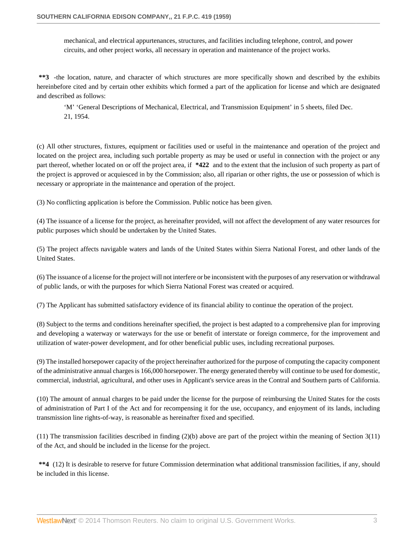mechanical, and electrical appurtenances, structures, and facilities including telephone, control, and power circuits, and other project works, all necessary in operation and maintenance of the project works.

**\*\*3** -the location, nature, and character of which structures are more specifically shown and described by the exhibits hereinbefore cited and by certain other exhibits which formed a part of the application for license and which are designated and described as follows:

'M' 'General Descriptions of Mechanical, Electrical, and Transmission Equipment' in 5 sheets, filed Dec. 21, 1954.

(c) All other structures, fixtures, equipment or facilities used or useful in the maintenance and operation of the project and located on the project area, including such portable property as may be used or useful in connection with the project or any part thereof, whether located on or off the project area, if **\*422** and to the extent that the inclusion of such property as part of the project is approved or acquiesced in by the Commission; also, all riparian or other rights, the use or possession of which is necessary or appropriate in the maintenance and operation of the project.

(3) No conflicting application is before the Commission. Public notice has been given.

(4) The issuance of a license for the project, as hereinafter provided, will not affect the development of any water resources for public purposes which should be undertaken by the United States.

(5) The project affects navigable waters and lands of the United States within Sierra National Forest, and other lands of the United States.

(6) The issuance of a license for the project will not interfere or be inconsistent with the purposes of any reservation or withdrawal of public lands, or with the purposes for which Sierra National Forest was created or acquired.

(7) The Applicant has submitted satisfactory evidence of its financial ability to continue the operation of the project.

(8) Subject to the terms and conditions hereinafter specified, the project is best adapted to a comprehensive plan for improving and developing a waterway or waterways for the use or benefit of interstate or foreign commerce, for the improvement and utilization of water-power development, and for other beneficial public uses, including recreational purposes.

(9) The installed horsepower capacity of the project hereinafter authorized for the purpose of computing the capacity component of the administrative annual charges is 166,000 horsepower. The energy generated thereby will continue to be used for domestic, commercial, industrial, agricultural, and other uses in Applicant's service areas in the Contral and Southern parts of California.

(10) The amount of annual charges to be paid under the license for the purpose of reimbursing the United States for the costs of administration of Part I of the Act and for recompensing it for the use, occupancy, and enjoyment of its lands, including transmission line rights-of-way, is reasonable as hereinafter fixed and specified.

(11) The transmission facilities described in finding (2)(b) above are part of the project within the meaning of Section 3(11) of the Act, and should be included in the license for the project.

**\*\*4** (12) It is desirable to reserve for future Commission determination what additional transmission facilities, if any, should be included in this license.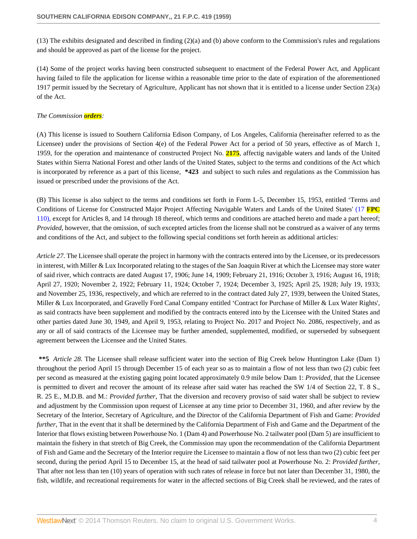(13) The exhibits designated and described in finding (2)(a) and (b) above conform to the Commission's rules and regulations and should be approved as part of the license for the project.

(14) Some of the project works having been constructed subsequent to enactment of the Federal Power Act, and Applicant having failed to file the application for license within a reasonable time prior to the date of expiration of the aforementioned 1917 permit issued by the Secretary of Agriculture, Applicant has not shown that it is entitled to a license under Section 23(a) of the Act.

## *The Commission orders:*

(A) This license is issued to Southern California Edison Company, of Los Angeles, California (hereinafter referred to as the Licensee) under the provisions of Section 4(e) of the Federal Power Act for a period of 50 years, effective as of March 1, 1959, for the operation and maintenance of constructed Project No. **2175**, affectig navigable waters and lands of the United States within Sierra National Forest and other lands of the United States, subject to the terms and conditions of the Act which is incorporated by reference as a part of this license, **\*423** and subject to such rules and regulations as the Commission has issued or prescribed under the provisions of the Act.

(B) This license is also subject to the terms and conditions set forth in Form L-5, December 15, 1953, entitled 'Terms and Conditions of License for Constructed Major Project Affecting Navigable Waters and Lands of the United States' (17 **[FPC](http://www.westlaw.com/Link/Document/FullText?findType=Y&serNum=1957052768&pubNum=921&originationContext=document&vr=3.0&rs=cblt1.0&transitionType=DocumentItem&contextData=(sc.Search))** [110\),](http://www.westlaw.com/Link/Document/FullText?findType=Y&serNum=1957052768&pubNum=921&originationContext=document&vr=3.0&rs=cblt1.0&transitionType=DocumentItem&contextData=(sc.Search)) except for Articles 8, and 14 through 18 thereof, which terms and conditions are attached hereto and made a part hereof; *Provided*, however, that the omission, of such excepted articles from the license shall not be construed as a waiver of any terms and conditions of the Act, and subject to the following special conditions set forth herein as additional articles:

*Article 27*. The Licensee shall operate the project in harmony with the contracts entered into by the Licensee, or its predecessors in interest, with Miller & Lux Incorporated relating to the stages of the San Joaquin River at which the Licensee may store water of said river, which contracts are dated August 17, 1906; June 14, 1909; February 21, 1916; October 3, 1916; August 16, 1918; April 27, 1920; November 2, 1922; February 11, 1924; October 7, 1924; December 3, 1925; April 25, 1928; July 19, 1933; and November 25, 1936, respectively, and which are referred to in the contract dated July 27, 1939, between the United States, Miller & Lux Incorporated, and Gravelly Ford Canal Company entitled 'Contract for Purchase of Miller & Lux Water Rights', as said contracts have been supplement and modified by the contracts entered into by the Licensee with the United States and other parties dated June 30, 1949, and April 9, 1953, relating to Project No. 2017 and Project No. 2086, respectively, and as any or all of said contracts of the Licensee may be further amended, supplemented, modified, or superseded by subsequent agreement between the Licensee and the United States.

**\*\*5** *Article 28*. The Licensee shall release sufficient water into the section of Big Creek below Huntington Lake (Dam 1) throughout the period April 15 through December 15 of each year so as to maintain a flow of not less than two (2) cubic feet per second as measured at the existing gaging point located approximately 0.9 mile below Dam 1: *Provided*, that the Licensee is permitted to divert and recover the amount of its release after said water has reached the SW 1/4 of Section 22, T. 8 S., R. 25 E., M.D.B. and M.: *Provided further*, That the diversion and recovery proviso of said water shall be subject to review and adjustment by the Commission upon request of Licensee at any time prior to December 31, 1960, and after review by the Secretary of the Interior, Secretary of Agriculture, and the Director of the California Department of Fish and Game: *Provided further*, That in the event that it shall be determined by the California Department of Fish and Game and the Department of the Interior that flows existing between Powerhouse No. 1 (Dam 4) and Powerhouse No. 2 tailwater pool (Dam 5) are insufficient to maintain the fishery in that stretch of Big Creek, the Commission may upon the recommendation of the California Department of Fish and Game and the Secretary of the Interior require the Licensee to maintain a flow of not less than two (2) cubic feet per second, during the period April 15 to December 15, at the head of said tailwater pool at Powerhouse No. 2: *Provided further*, That after not less than ten (10) years of operation with such rates of release in force but not later than December 31, 1980, the fish, wildlife, and recreational requirements for water in the affected sections of Big Creek shall be reviewed, and the rates of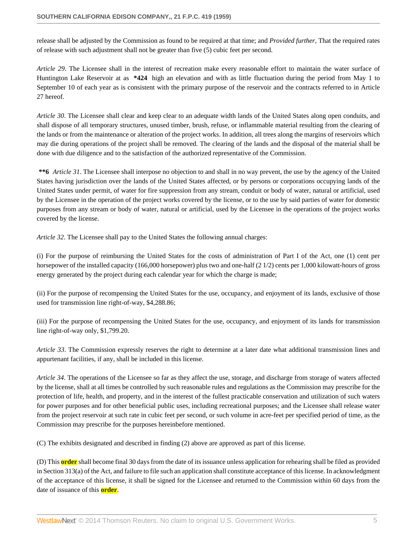release shall be adjusted by the Commission as found to be required at that time; and *Provided further*, That the required rates of release with such adjustment shall not be greater than five (5) cubic feet per second.

*Article 29*. The Licensee shall in the interest of recreation make every reasonable effort to maintain the water surface of Huntington Lake Reservoir at as **\*424** high an elevation and with as little fluctuation during the period from May 1 to September 10 of each year as is consistent with the primary purpose of the reservoir and the contracts referred to in Article 27 hereof.

*Article 30*. The Licensee shall clear and keep clear to an adequate width lands of the United States along open conduits, and shall dispose of all temporary structures, unused timber, brush, refuse, or inflammable material resulting from the clearing of the lands or from the maintenance or alteration of the project works. In addition, all trees along the margins of reservoirs which may die during operations of the project shall be removed. The clearing of the lands and the disposal of the material shall be done with due diligence and to the satisfaction of the authorized representative of the Commission.

**\*\*6** *Article 31*. The Licensee shall interpose no objection to and shall in no way prevent, the use by the agency of the United States having jurisdiction over the lands of the United States affected, or by persons or corporations occupying lands of the United States under permit, of water for fire suppression from any stream, conduit or body of water, natural or artificial, used by the Licensee in the operation of the project works covered by the license, or to the use by said parties of water for domestic purposes from any stream or body of water, natural or artificial, used by the Licensee in the operations of the project works covered by the license.

*Article 32*. The Licensee shall pay to the United States the following annual charges:

(i) For the purpose of reimbursing the United States for the costs of administration of Part I of the Act, one (1) cent per horsepower of the installed capacity (166,000 horsepower) plus two and one-half (2 1/2) cents per 1,000 kilowatt-hours of gross energy generated by the project during each calendar year for which the charge is made;

(ii) For the purpose of recompensing the United States for the use, occupancy, and enjoyment of its lands, exclusive of those used for transmission line right-of-way, \$4,288.86;

(iii) For the purpose of recompensing the United States for the use, occupancy, and enjoyment of its lands for transmission line right-of-way only, \$1,799.20.

*Article 33*. The Commission expressly reserves the right to determine at a later date what additional transmission lines and appurtenant facilities, if any, shall be included in this license.

*Article 34*. The operations of the Licensee so far as they affect the use, storage, and discharge from storage of waters affected by the license, shall at all times be controlled by such reasonable rules and regulations as the Commission may prescribe for the protection of life, health, and property, and in the interest of the fullest practicable conservation and utilization of such waters for power purposes and for other beneficial public uses, including recreational purposes; and the Licensee shall release water from the project reservoir at such rate in cubic feet per second, or such volume in acre-feet per specified period of time, as the Commission may prescribe for the purposes hereinbefore mentioned.

(C) The exhibits designated and described in finding (2) above are approved as part of this license.

(D) This **order** shall become final 30 days from the date of its issuance unless application for rehearing shall be filed as provided in Section 313(a) of the Act, and failure to file such an application shall constitute acceptance of this license. In acknowledgment of the acceptance of this license, it shall be signed for the Licensee and returned to the Commission within 60 days from the date of issuance of this **order**.